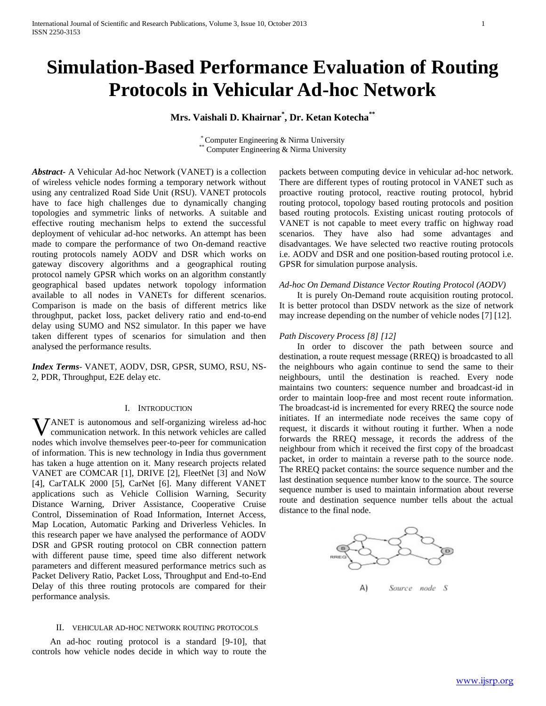# **Simulation-Based Performance Evaluation of Routing Protocols in Vehicular Ad-hoc Network**

# **Mrs. Vaishali D. Khairnar\* , Dr. Ketan Kotecha\*\***

\* Computer Engineering & Nirma University Computer Engineering & Nirma University

*Abstract***-** A Vehicular Ad-hoc Network (VANET) is a collection of wireless vehicle nodes forming a temporary network without using any centralized Road Side Unit (RSU). VANET protocols have to face high challenges due to dynamically changing topologies and symmetric links of networks. A suitable and effective routing mechanism helps to extend the successful deployment of vehicular ad-hoc networks. An attempt has been made to compare the performance of two On-demand reactive routing protocols namely AODV and DSR which works on gateway discovery algorithms and a geographical routing protocol namely GPSR which works on an algorithm constantly geographical based updates network topology information available to all nodes in VANETs for different scenarios. Comparison is made on the basis of different metrics like throughput, packet loss, packet delivery ratio and end-to-end delay using SUMO and NS2 simulator. In this paper we have taken different types of scenarios for simulation and then analysed the performance results.

*Index Terms*- VANET, AODV, DSR, GPSR, SUMO, RSU, NS-2, PDR, Throughput, E2E delay etc.

# I. INTRODUCTION

ANET is autonomous and self-organizing wireless ad-hoc Vcommunication network. In this network vehicles are called nodes which involve themselves peer-to-peer for communication of information. This is new technology in India thus government has taken a huge attention on it. Many research projects related VANET are COMCAR [1], DRIVE [2], FleetNet [3] and NoW [4], CarTALK 2000 [5], CarNet [6]. Many different VANET applications such as Vehicle Collision Warning, Security Distance Warning, Driver Assistance, Cooperative Cruise Control, Dissemination of Road Information, Internet Access, Map Location, Automatic Parking and Driverless Vehicles. In this research paper we have analysed the performance of AODV DSR and GPSR routing protocol on CBR connection pattern with different pause time, speed time also different network parameters and different measured performance metrics such as Packet Delivery Ratio, Packet Loss, Throughput and End-to-End Delay of this three routing protocols are compared for their performance analysis.

#### II. VEHICULAR AD-HOC NETWORK ROUTING PROTOCOLS

 An ad-hoc routing protocol is a standard [9-10], that controls how vehicle nodes decide in which way to route the packets between computing device in vehicular ad-hoc network. There are different types of routing protocol in VANET such as proactive routing protocol, reactive routing protocol, hybrid routing protocol, topology based routing protocols and position based routing protocols. Existing unicast routing protocols of VANET is not capable to meet every traffic on highway road scenarios. They have also had some advantages and disadvantages. We have selected two reactive routing protocols i.e. AODV and DSR and one position-based routing protocol i.e. GPSR for simulation purpose analysis.

#### *Ad-hoc On Demand Distance Vector Routing Protocol (AODV)*

 It is purely On-Demand route acquisition routing protocol. It is better protocol than DSDV network as the size of network may increase depending on the number of vehicle nodes [7] [12].

#### *Path Discovery Process [8] [12]*

 In order to discover the path between source and destination, a route request message (RREQ) is broadcasted to all the neighbours who again continue to send the same to their neighbours, until the destination is reached. Every node maintains two counters: sequence number and broadcast-id in order to maintain loop-free and most recent route information. The broadcast-id is incremented for every RREQ the source node initiates. If an intermediate node receives the same copy of request, it discards it without routing it further. When a node forwards the RREQ message, it records the address of the neighbour from which it received the first copy of the broadcast packet, in order to maintain a reverse path to the source node. The RREQ packet contains: the source sequence number and the last destination sequence number know to the source. The source sequence number is used to maintain information about reverse route and destination sequence number tells about the actual distance to the final node.

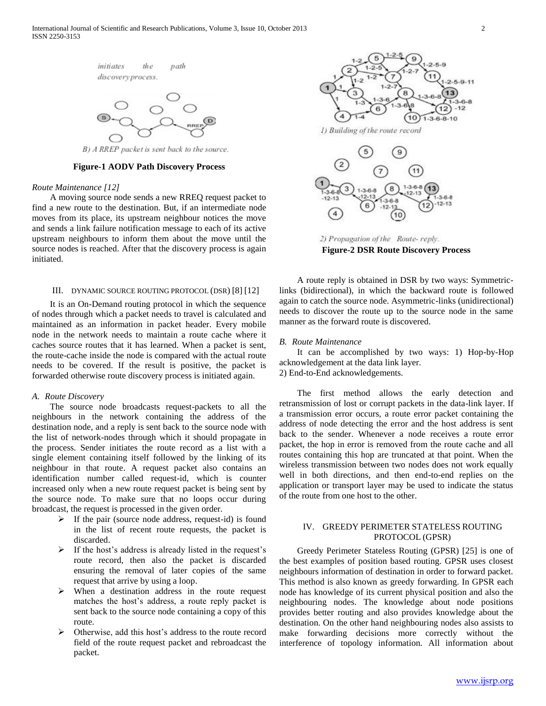

B) A RREP packet is sent back to the source.

**Figure-1 AODV Path Discovery Process**

#### *Route Maintenance [12]*

 A moving source node sends a new RREQ request packet to find a new route to the destination. But, if an intermediate node moves from its place, its upstream neighbour notices the move and sends a link failure notification message to each of its active upstream neighbours to inform them about the move until the source nodes is reached. After that the discovery process is again initiated.

#### III. DYNAMIC SOURCE ROUTING PROTOCOL (DSR) [8] [12]

 It is an On-Demand routing protocol in which the sequence of nodes through which a packet needs to travel is calculated and maintained as an information in packet header. Every mobile node in the network needs to maintain a route cache where it caches source routes that it has learned. When a packet is sent, the route-cache inside the node is compared with the actual route needs to be covered. If the result is positive, the packet is forwarded otherwise route discovery process is initiated again.

## *A. Route Discovery*

 The source node broadcasts request-packets to all the neighbours in the network containing the address of the destination node, and a reply is sent back to the source node with the list of network-nodes through which it should propagate in the process. Sender initiates the route record as a list with a single element containing itself followed by the linking of its neighbour in that route. A request packet also contains an identification number called request-id, which is counter increased only when a new route request packet is being sent by the source node. To make sure that no loops occur during broadcast, the request is processed in the given order*.*

- $\triangleright$  If the pair (source node address, request-id) is found in the list of recent route requests, the packet is discarded.
- $\triangleright$  If the host's address is already listed in the request's route record, then also the packet is discarded ensuring the removal of later copies of the same request that arrive by using a loop.
- When a destination address in the route request matches the host's address, a route reply packet is sent back to the source node containing a copy of this route.
- > Otherwise, add this host's address to the route record field of the route request packet and rebroadcast the packet.



2) Propagation of the Route-reply. **Figure-2 DSR Route Discovery Process**

 A route reply is obtained in DSR by two ways: Symmetriclinks (bidirectional), in which the backward route is followed again to catch the source node. Asymmetric-links (unidirectional) needs to discover the route up to the source node in the same manner as the forward route is discovered.

#### *B. Route Maintenance*

 It can be accomplished by two ways: 1) Hop-by-Hop acknowledgement at the data link layer. 2) End-to-End acknowledgements.

 The first method allows the early detection and retransmission of lost or corrupt packets in the data-link layer. If a transmission error occurs, a route error packet containing the address of node detecting the error and the host address is sent back to the sender. Whenever a node receives a route error packet, the hop in error is removed from the route cache and all routes containing this hop are truncated at that point. When the wireless transmission between two nodes does not work equally well in both directions, and then end-to-end replies on the application or transport layer may be used to indicate the status of the route from one host to the other.

# IV. GREEDY PERIMETER STATELESS ROUTING PROTOCOL (GPSR)

 Greedy Perimeter Stateless Routing (GPSR) [25] is one of the best examples of position based routing. GPSR uses closest neighbours information of destination in order to forward packet. This method is also known as greedy forwarding. In GPSR each node has knowledge of its current physical position and also the neighbouring nodes. The knowledge about node positions provides better routing and also provides knowledge about the destination. On the other hand neighbouring nodes also assists to make forwarding decisions more correctly without the interference of topology information. All information about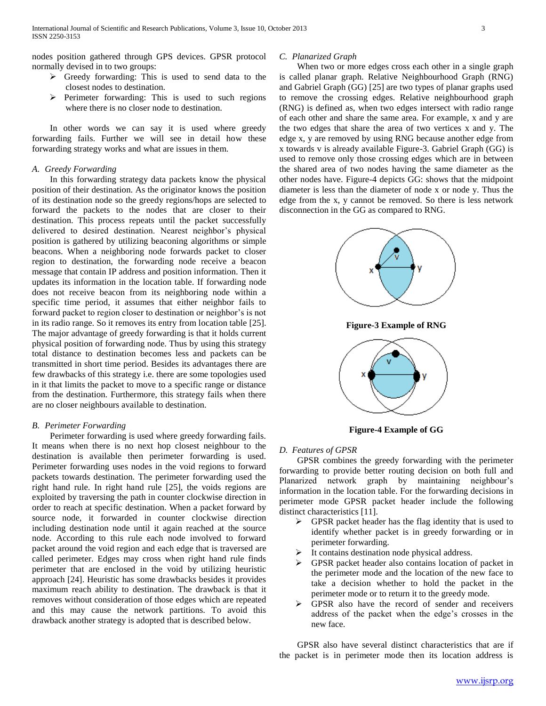nodes position gathered through GPS devices. GPSR protocol normally devised in to two groups:

- $\triangleright$  Greedy forwarding: This is used to send data to the closest nodes to destination.
- $\triangleright$  Perimeter forwarding: This is used to such regions where there is no closer node to destination.

 In other words we can say it is used where greedy forwarding fails. Further we will see in detail how these forwarding strategy works and what are issues in them.

#### *A. Greedy Forwarding*

 In this forwarding strategy data packets know the physical position of their destination. As the originator knows the position of its destination node so the greedy regions/hops are selected to forward the packets to the nodes that are closer to their destination. This process repeats until the packet successfully delivered to desired destination. Nearest neighbor's physical position is gathered by utilizing beaconing algorithms or simple beacons. When a neighboring node forwards packet to closer region to destination, the forwarding node receive a beacon message that contain IP address and position information. Then it updates its information in the location table. If forwarding node does not receive beacon from its neighboring node within a specific time period, it assumes that either neighbor fails to forward packet to region closer to destination or neighbor's is not in its radio range. So it removes its entry from location table [25]. The major advantage of greedy forwarding is that it holds current physical position of forwarding node. Thus by using this strategy total distance to destination becomes less and packets can be transmitted in short time period. Besides its advantages there are few drawbacks of this strategy i.e. there are some topologies used in it that limits the packet to move to a specific range or distance from the destination. Furthermore, this strategy fails when there are no closer neighbours available to destination.

# *B. Perimeter Forwarding*

 Perimeter forwarding is used where greedy forwarding fails. It means when there is no next hop closest neighbour to the destination is available then perimeter forwarding is used. Perimeter forwarding uses nodes in the void regions to forward packets towards destination. The perimeter forwarding used the right hand rule. In right hand rule [25], the voids regions are exploited by traversing the path in counter clockwise direction in order to reach at specific destination. When a packet forward by source node, it forwarded in counter clockwise direction including destination node until it again reached at the source node. According to this rule each node involved to forward packet around the void region and each edge that is traversed are called perimeter. Edges may cross when right hand rule finds perimeter that are enclosed in the void by utilizing heuristic approach [24]. Heuristic has some drawbacks besides it provides maximum reach ability to destination. The drawback is that it removes without consideration of those edges which are repeated and this may cause the network partitions. To avoid this drawback another strategy is adopted that is described below.

#### *C. Planarized Graph*

 When two or more edges cross each other in a single graph is called planar graph. Relative Neighbourhood Graph (RNG) and Gabriel Graph (GG) [25] are two types of planar graphs used to remove the crossing edges. Relative neighbourhood graph (RNG) is defined as, when two edges intersect with radio range of each other and share the same area. For example, x and y are the two edges that share the area of two vertices x and y. The edge x, y are removed by using RNG because another edge from x towards v is already available Figure-3. Gabriel Graph (GG) is used to remove only those crossing edges which are in between the shared area of two nodes having the same diameter as the other nodes have. Figure-4 depicts GG: shows that the midpoint diameter is less than the diameter of node x or node y. Thus the edge from the x, y cannot be removed. So there is less network disconnection in the GG as compared to RNG.



**Figure-3 Example of RNG**



**Figure-4 Example of GG**

## *D. Features of GPSR*

 GPSR combines the greedy forwarding with the perimeter forwarding to provide better routing decision on both full and Planarized network graph by maintaining neighbour's information in the location table. For the forwarding decisions in perimeter mode GPSR packet header include the following distinct characteristics [11].

- $\triangleright$  GPSR packet header has the flag identity that is used to identify whether packet is in greedy forwarding or in perimeter forwarding.
- It contains destination node physical address.
- GPSR packet header also contains location of packet in the perimeter mode and the location of the new face to take a decision whether to hold the packet in the perimeter mode or to return it to the greedy mode.
- GPSR also have the record of sender and receivers address of the packet when the edge's crosses in the new face.

 GPSR also have several distinct characteristics that are if the packet is in perimeter mode then its location address is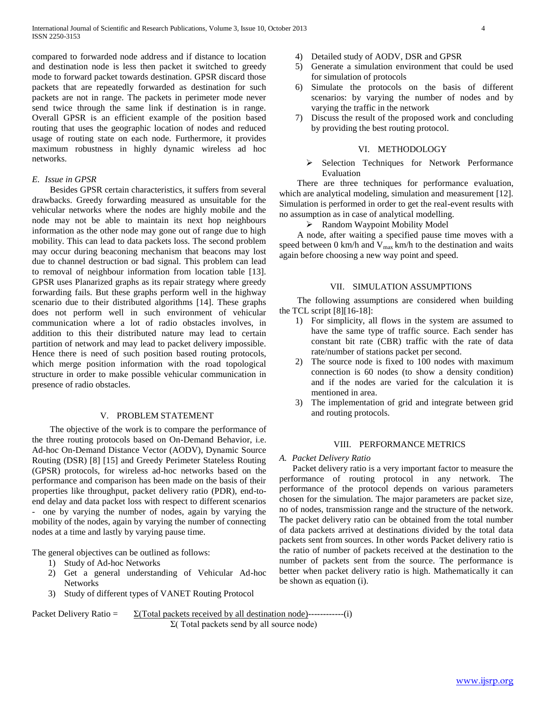compared to forwarded node address and if distance to location and destination node is less then packet it switched to greedy mode to forward packet towards destination. GPSR discard those packets that are repeatedly forwarded as destination for such packets are not in range. The packets in perimeter mode never send twice through the same link if destination is in range. Overall GPSR is an efficient example of the position based routing that uses the geographic location of nodes and reduced usage of routing state on each node. Furthermore, it provides maximum robustness in highly dynamic wireless ad hoc networks.

# *E. Issue in GPSR*

 Besides GPSR certain characteristics, it suffers from several drawbacks. Greedy forwarding measured as unsuitable for the vehicular networks where the nodes are highly mobile and the node may not be able to maintain its next hop neighbours information as the other node may gone out of range due to high mobility. This can lead to data packets loss. The second problem may occur during beaconing mechanism that beacons may lost due to channel destruction or bad signal. This problem can lead to removal of neighbour information from location table [13]. GPSR uses Planarized graphs as its repair strategy where greedy forwarding fails. But these graphs perform well in the highway scenario due to their distributed algorithms [14]. These graphs does not perform well in such environment of vehicular communication where a lot of radio obstacles involves, in addition to this their distributed nature may lead to certain partition of network and may lead to packet delivery impossible. Hence there is need of such position based routing protocols, which merge position information with the road topological structure in order to make possible vehicular communication in presence of radio obstacles.

# V. PROBLEM STATEMENT

 The objective of the work is to compare the performance of the three routing protocols based on On-Demand Behavior, i.e. Ad-hoc On-Demand Distance Vector (AODV), Dynamic Source Routing (DSR) [8] [15] and Greedy Perimeter Stateless Routing (GPSR) protocols, for wireless ad-hoc networks based on the performance and comparison has been made on the basis of their properties like throughput, packet delivery ratio (PDR), end-toend delay and data packet loss with respect to different scenarios - one by varying the number of nodes, again by varying the mobility of the nodes, again by varying the number of connecting nodes at a time and lastly by varying pause time.

The general objectives can be outlined as follows:

- 1) Study of Ad-hoc Networks
- 2) Get a general understanding of Vehicular Ad-hoc Networks
- 3) Study of different types of VANET Routing Protocol
- 4) Detailed study of AODV, DSR and GPSR
- 5) Generate a simulation environment that could be used for simulation of protocols
- 6) Simulate the protocols on the basis of different scenarios: by varying the number of nodes and by varying the traffic in the network
- 7) Discuss the result of the proposed work and concluding by providing the best routing protocol.

# VI. METHODOLOGY

 Selection Techniques for Network Performance Evaluation

 There are three techniques for performance evaluation, which are analytical modeling, simulation and measurement [12]. Simulation is performed in order to get the real-event results with no assumption as in case of analytical modelling.

## > Random Waypoint Mobility Model

 A node, after waiting a specified pause time moves with a speed between 0 km/h and  $V_{max}$  km/h to the destination and waits again before choosing a new way point and speed.

# VII. SIMULATION ASSUMPTIONS

 The following assumptions are considered when building the TCL script  $[8][16-18]$ :

- 1) For simplicity, all flows in the system are assumed to have the same type of traffic source. Each sender has constant bit rate (CBR) traffic with the rate of data rate/number of stations packet per second.
- 2) The source node is fixed to 100 nodes with maximum connection is 60 nodes (to show a density condition) and if the nodes are varied for the calculation it is mentioned in area.
- 3) The implementation of grid and integrate between grid and routing protocols.

#### VIII. PERFORMANCE METRICS

#### *A. Packet Delivery Ratio*

 Packet delivery ratio is a very important factor to measure the performance of routing protocol in any network. The performance of the protocol depends on various parameters chosen for the simulation. The major parameters are packet size, no of nodes, transmission range and the structure of the network. The packet delivery ratio can be obtained from the total number of data packets arrived at destinations divided by the total data packets sent from sources. In other words Packet delivery ratio is the ratio of number of packets received at the destination to the number of packets sent from the source. The performance is better when packet delivery ratio is high. Mathematically it can be shown as equation (i).

Packet Delivery Ratio  $= \sum_{\text{Total packets received by all destination node}} (-1)^{n}$ Σ( Total packets send by all source node)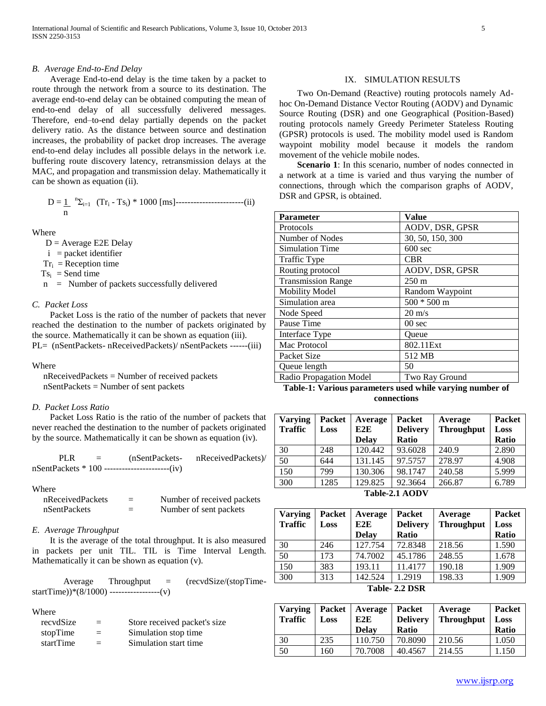## *B. Average End-to-End Delay*

 Average End-to-end delay is the time taken by a packet to route through the network from a source to its destination. The average end-to-end delay can be obtained computing the mean of end-to-end delay of all successfully delivered messages. Therefore, end–to-end delay partially depends on the packet delivery ratio. As the distance between source and destination increases, the probability of packet drop increases. The average end-to-end delay includes all possible delays in the network i.e. buffering route discovery latency, retransmission delays at the MAC, and propagation and transmission delay. Mathematically it can be shown as equation (ii).

 D = 1 n Σi=1 (Tr<sup>i</sup> - Tsi) \* 1000 [ms]-----------------------(ii) n

Where

 $D =$  Average E2E Delay

 $i = packet$  identifier

 $Tr_i = Reception time$ 

 $Ts_i = Send$  time

n = Number of packets successfully delivered

# *C. Packet Loss*

 Packet Loss is the ratio of the number of packets that never reached the destination to the number of packets originated by the source. Mathematically it can be shown as equation (iii). PL= (nSentPackets- nReceivedPackets)/ nSentPackets ------(iii)

#### Where

 nReceivedPackets = Number of received packets nSentPackets = Number of sent packets

## *D. Packet Loss Ratio*

 Packet Loss Ratio is the ratio of the number of packets that never reached the destination to the number of packets originated by the source. Mathematically it can be shown as equation (iv).

| PLR | $=$ | (nSentPackets-                                       | nReceivedPackets)/ |
|-----|-----|------------------------------------------------------|--------------------|
|     |     | $nSentPackets * 100$ ---------------------------(iv) |                    |

#### Where

| nReceivedPackets | $=$ | Number of received packets |
|------------------|-----|----------------------------|
| nSentPackets     |     | Number of sent packets     |

# *E. Average Throughput*

 It is the average of the total throughput. It is also measured in packets per unit TIL. TIL is Time Interval Length. Mathematically it can be shown as equation (v).

 $Average$  Throughput =  $(recvdSize/(stopTime-))$ startTime))\*(8/1000) -----------------(v)

### Where

| recydSize | $=$ | Store received packet's size |
|-----------|-----|------------------------------|
| stopTime  | $=$ | Simulation stop time         |
| startTime | $=$ | Simulation start time        |

# IX. SIMULATION RESULTS

 Two On-Demand (Reactive) routing protocols namely Adhoc On-Demand Distance Vector Routing (AODV) and Dynamic Source Routing (DSR) and one Geographical (Position-Based) routing protocols namely Greedy Perimeter Stateless Routing (GPSR) protocols is used. The mobility model used is Random waypoint mobility model because it models the random movement of the vehicle mobile nodes.

**Scenario 1**: In this scenario, number of nodes connected in a network at a time is varied and thus varying the number of connections, through which the comparison graphs of AODV, DSR and GPSR, is obtained.

| Parameter                 | <b>Value</b>      |
|---------------------------|-------------------|
| Protocols                 | AODV, DSR, GPSR   |
| Number of Nodes           | 30, 50, 150, 300  |
| <b>Simulation Time</b>    | $600$ sec         |
| Traffic Type              | <b>CBR</b>        |
| Routing protocol          | AODV, DSR, GPSR   |
| <b>Transmission Range</b> | $250 \text{ m}$   |
| <b>Mobility Model</b>     | Random Waypoint   |
| Simulation area           | $500 * 500$ m     |
| Node Speed                | $20 \text{ m/s}$  |
| Pause Time                | 00 <sub>sec</sub> |
| Interface Type            | Oueue             |
| Mac Protocol              | 802.11Ext         |
| Packet Size               | 512 MB            |
| Queue length              | 50                |
| Radio Propagation Model   | Two Ray Ground    |

**Table-1: Various parameters used while varying number of connections**

| <b>Varying</b>   | Packet | Average      | <b>Packet</b>   | Average           | <b>Packet</b> |
|------------------|--------|--------------|-----------------|-------------------|---------------|
| <b>Traffic</b>   | Loss   | E2E          | <b>Delivery</b> | <b>Throughput</b> | Loss          |
|                  |        | <b>Delay</b> | <b>Ratio</b>    |                   | Ratio         |
| 30               | 248    | 120.442      | 93.6028         | 240.9             | 2.890         |
| 50               | 644    | 131.145      | 97.5757         | 278.97            | 4.908         |
| 150              | 799    | 130.306      | 98.1747         | 240.58            | 5.999         |
| 300              | 1285   | 129.825      | 92.3664         | 266.87            | 6.789         |
| T.1.1.21 A A NVI |        |              |                 |                   |               |

**Table-2.1 AODV**

| <b>Varying</b> | Packet | Average      | Packet          | Average           | <b>Packet</b> |
|----------------|--------|--------------|-----------------|-------------------|---------------|
| <b>Traffic</b> | Loss   | E2E          | <b>Delivery</b> | <b>Throughput</b> | Loss          |
|                |        | <b>Delay</b> | Ratio           |                   | <b>Ratio</b>  |
| 30             | 246    | 127.754      | 72.8348         | 218.56            | 1.590         |
| 50             | 173    | 74.7002      | 45.1786         | 248.55            | 1.678         |
| 150            | 383    | 193.11       | 11.4177         | 190.18            | 1.909         |
| 300            | 313    | 142.524      | 1.2919          | 198.33            | 1.909         |
| Toble 22 DCD   |        |              |                 |                   |               |

**Table- 2.2 DSR**

| <b>Varying</b><br><b>Traffic</b> | Packet<br>Loss | Average<br>E2E<br><b>Delay</b> | <b>Packet</b><br><b>Delivery</b><br>Ratio | Average<br><b>Throughput</b> | <b>Packet</b><br>Loss<br>Ratio |
|----------------------------------|----------------|--------------------------------|-------------------------------------------|------------------------------|--------------------------------|
| 30                               | 235            | 110.750                        | 70.8090                                   | 210.56                       | 1.050                          |
| 50                               | .60            | 70.7008                        | 40.4567                                   | 214.55                       | .150                           |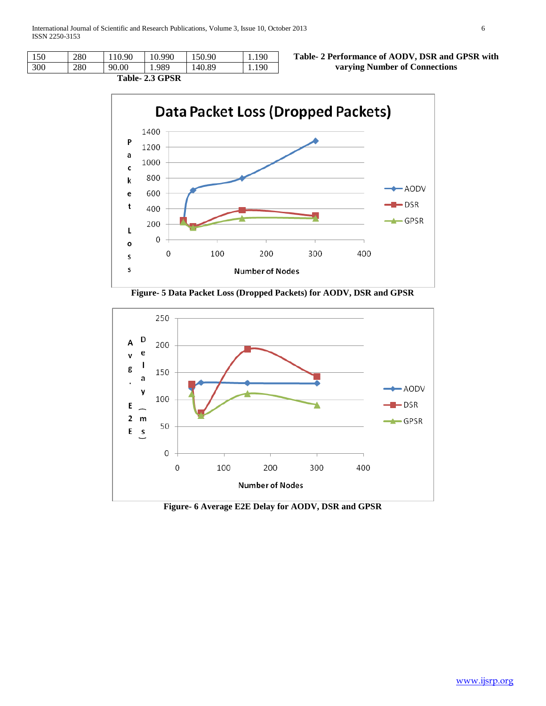| $\sim$ $\sim$ $\sim$ $\sim$<br>-- - - |     |       |       |        |       |
|---------------------------------------|-----|-------|-------|--------|-------|
| 300                                   | 280 | 90.00 | 989   | 140.89 | 1.190 |
| 150                                   | 280 | .90   | 0.990 | 50.90  | 190   |

**Table- 2 Performance of AODV, DSR and GPSR with varying Number of Connections**

**Table- 2.3 GPSR**







**Figure- 6 Average E2E Delay for AODV, DSR and GPSR**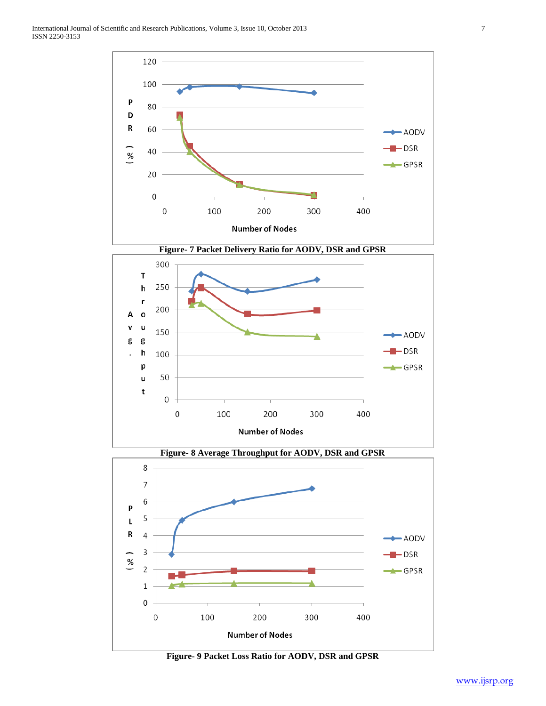





**Figure- 9 Packet Loss Ratio for AODV, DSR and GPSR**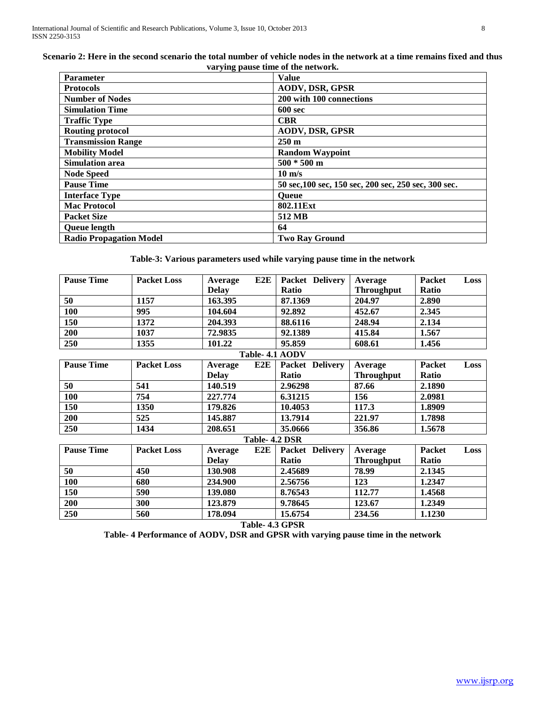| Scenario 2: Here in the second scenario the total number of vehicle nodes in the network at a time remains fixed and thus |
|---------------------------------------------------------------------------------------------------------------------------|
| varying pause time of the network.                                                                                        |

| <b>Parameter</b>               | <b>Value</b>                                         |
|--------------------------------|------------------------------------------------------|
| <b>Protocols</b>               | <b>AODV, DSR, GPSR</b>                               |
| <b>Number of Nodes</b>         | 200 with 100 connections                             |
| <b>Simulation Time</b>         | <b>600 sec</b>                                       |
| <b>Traffic Type</b>            | <b>CBR</b>                                           |
| <b>Routing protocol</b>        | <b>AODV, DSR, GPSR</b>                               |
| <b>Transmission Range</b>      | $250 \text{ m}$                                      |
| <b>Mobility Model</b>          | <b>Random Waypoint</b>                               |
| <b>Simulation area</b>         | $500 * 500$ m                                        |
| <b>Node Speed</b>              | $10 \text{ m/s}$                                     |
| <b>Pause Time</b>              | 50 sec, 100 sec, 150 sec, 200 sec, 250 sec, 300 sec. |
| <b>Interface Type</b>          | <b>Oueue</b>                                         |
| <b>Mac Protocol</b>            | 802.11Ext                                            |
| <b>Packet Size</b>             | 512 MB                                               |
| <b>Queue length</b>            | 64                                                   |
| <b>Radio Propagation Model</b> | <b>Two Ray Ground</b>                                |

# **Table-3: Various parameters used while varying pause time in the network**

| <b>Pause Time</b> | <b>Packet Loss</b> | Average      | E2E            | <b>Packet Delivery</b> | Average           | <b>Packet</b> | Loss |
|-------------------|--------------------|--------------|----------------|------------------------|-------------------|---------------|------|
|                   |                    | <b>Delay</b> |                | Ratio                  | <b>Throughput</b> | <b>Ratio</b>  |      |
| 50                | 1157               | 163.395      |                | 87.1369                | 204.97            | 2.890         |      |
| <b>100</b>        | 995                | 104.604      |                | 92.892                 | 452.67            | 2.345         |      |
| 150               | 1372               | 204.393      |                | 88.6116                | 248.94            | 2.134         |      |
| 200               | 1037               | 72.9835      |                | 92.1389                | 415.84            | 1.567         |      |
| 250               | 1355               | 101.22       |                | 95.859                 | 608.61            | 1.456         |      |
|                   |                    |              |                | Table- 4.1 AODV        |                   |               |      |
| <b>Pause Time</b> | <b>Packet Loss</b> | Average      | E2E            | Packet Delivery        | Average           | Packet        | Loss |
|                   |                    | <b>Delay</b> |                | Ratio                  | <b>Throughput</b> | <b>Ratio</b>  |      |
| 50                | 541                | 140.519      |                | 2.96298                | 87.66             | 2.1890        |      |
| 100               | 754                | 227.774      |                | 6.31215                | 156               | 2.0981        |      |
| 150               | 1350               | 179.826      |                | 10.4053                | 117.3             | 1.8909        |      |
| 200               | 525                | 145.887      |                | 13.7914                | 221.97            | 1.7898        |      |
| 250               | 1434               | 208.651      |                | 35.0666                | 356.86            | 1.5678        |      |
|                   |                    |              | Table- 4.2 DSR |                        |                   |               |      |
| <b>Pause Time</b> | <b>Packet Loss</b> | Average      | E2E            | <b>Packet Delivery</b> | Average           | <b>Packet</b> | Loss |
|                   |                    | <b>Delay</b> |                | Ratio                  | <b>Throughput</b> | Ratio         |      |
| 50                | 450                | 130.908      |                | 2.45689                | 78.99             | 2.1345        |      |
| 100               | 680                | 234.900      |                | 2.56756                | 123               | 1.2347        |      |
| 150               | 590                | 139.080      |                | 8.76543                | 112.77            | 1.4568        |      |
| 200               | 300                | 123.879      |                | 9.78645                | 123.67            | 1.2349        |      |
| 250               | 560                | 178.094      |                | 15.6754                | 234.56            | 1.1230        |      |

**Table- 4.3 GPSR**

**Table- 4 Performance of AODV, DSR and GPSR with varying pause time in the network**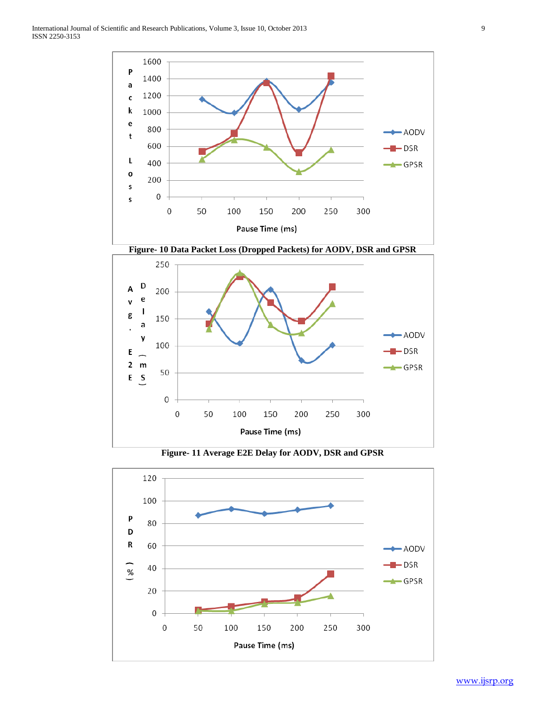

**Figure- 11 Average E2E Delay for AODV, DSR and GPSR**

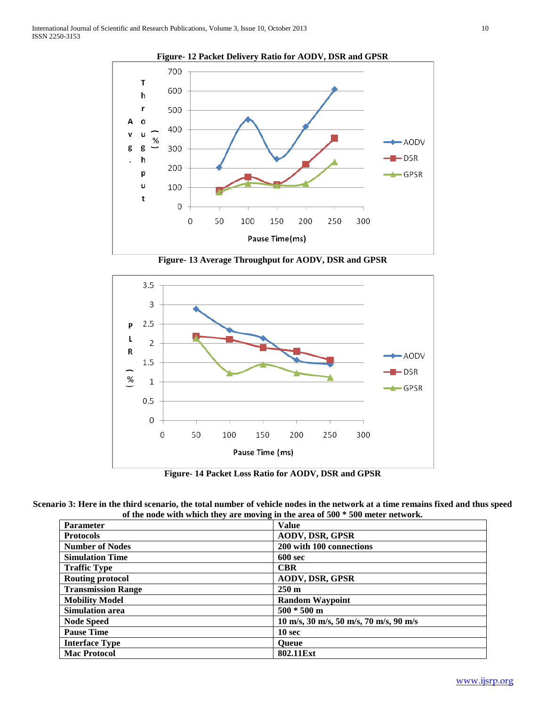

**Figure- 13 Average Throughput for AODV, DSR and GPSR**



**Figure- 14 Packet Loss Ratio for AODV, DSR and GPSR**

**Scenario 3: Here in the third scenario, the total number of vehicle nodes in the network at a time remains fixed and thus speed of the node with which they are moving in the area of 500 \* 500 meter network.**

| <b>Parameter</b>          | <b>Value</b>                                                                     |
|---------------------------|----------------------------------------------------------------------------------|
| <b>Protocols</b>          | <b>AODV, DSR, GPSR</b>                                                           |
| <b>Number of Nodes</b>    | 200 with 100 connections                                                         |
| <b>Simulation Time</b>    | <b>600 sec</b>                                                                   |
| <b>Traffic Type</b>       | <b>CBR</b>                                                                       |
| <b>Routing protocol</b>   | <b>AODV, DSR, GPSR</b>                                                           |
| <b>Transmission Range</b> | $250 \text{ m}$                                                                  |
| <b>Mobility Model</b>     | <b>Random Waypoint</b>                                                           |
| <b>Simulation area</b>    | $500 * 500$ m                                                                    |
| <b>Node Speed</b>         | $10 \text{ m/s}, 30 \text{ m/s}, 50 \text{ m/s}, 70 \text{ m/s}, 90 \text{ m/s}$ |
| <b>Pause Time</b>         | 10 <sub>sec</sub>                                                                |
| <b>Interface Type</b>     | <b>Oueue</b>                                                                     |
| <b>Mac Protocol</b>       | 802.11Ext                                                                        |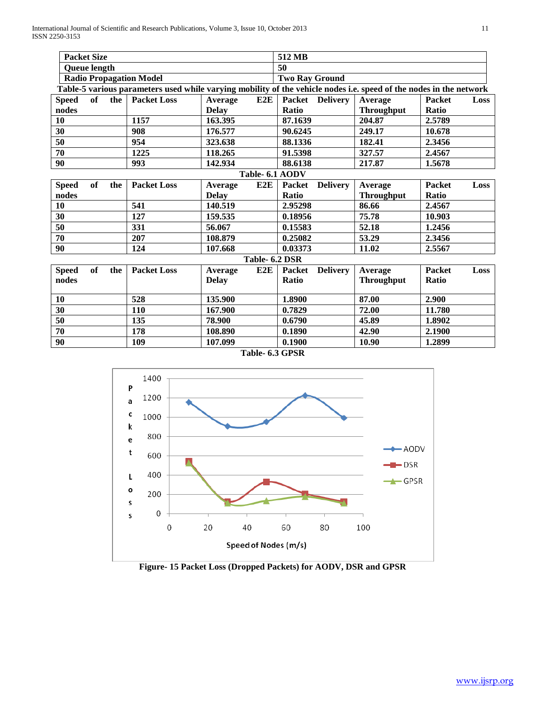International Journal of Scientific and Research Publications, Volume 3, Issue 10, October 2013 11 ISSN 2250-3153

| <b>Packet Size</b>                                                                                                 |           |                    |              |     | 512 MB                |                 |                   |               |      |
|--------------------------------------------------------------------------------------------------------------------|-----------|--------------------|--------------|-----|-----------------------|-----------------|-------------------|---------------|------|
| <b>Queue length</b>                                                                                                |           |                    |              |     | 50                    |                 |                   |               |      |
| <b>Radio Propagation Model</b>                                                                                     |           |                    |              |     | <b>Two Ray Ground</b> |                 |                   |               |      |
| Table-5 various parameters used while varying mobility of the vehicle nodes i.e. speed of the nodes in the network |           |                    |              |     |                       |                 |                   |               |      |
| <b>Speed</b>                                                                                                       |           | of the Packet Loss | Average      | E2E |                       | Packet Delivery | Average           | <b>Packet</b> | Loss |
| nodes                                                                                                              |           |                    | <b>Delay</b> |     | <b>Ratio</b>          |                 | <b>Throughput</b> | Ratio         |      |
| 10                                                                                                                 |           | 1157               | 163.395      |     | 87.1639               |                 | 204.87            | 2.5789        |      |
| 30                                                                                                                 |           | 908                | 176.577      |     | 90.6245               |                 | 249.17            | 10.678        |      |
| 50                                                                                                                 |           | 954                | 323.638      |     | 88.1336               |                 | 182.41            | 2.3456        |      |
| $\overline{70}$                                                                                                    |           | 1225               | 118.265      |     | 91.5398               |                 | 327.57            | 2.4567        |      |
| 90                                                                                                                 |           | 993                | 142.934      |     | 88.6138               |                 | 217.87            | 1.5678        |      |
| Table- 6.1 AODV                                                                                                    |           |                    |              |     |                       |                 |                   |               |      |
| <b>Speed</b>                                                                                                       | of<br>the | <b>Packet Loss</b> | Average      | E2E | <b>Packet</b>         | <b>Delivery</b> | Average           | <b>Packet</b> | Loss |
| nodes                                                                                                              |           |                    | <b>Delay</b> |     | <b>Ratio</b>          |                 | <b>Throughput</b> | <b>Ratio</b>  |      |
| 10                                                                                                                 |           | 541                | 140.519      |     | 2.95298               |                 | 86.66             | 2.4567        |      |
| 30                                                                                                                 |           | 127                | 159.535      |     | 0.18956               |                 | 75.78             | 10.903        |      |
| 50                                                                                                                 |           | 331                | 56.067       |     | 0.15583               |                 | 52.18             | 1.2456        |      |
| 70                                                                                                                 |           | 207                | 108.879      |     | 0.25082               |                 | 53.29             | 2.3456        |      |
| 90                                                                                                                 |           | 124                | 107.668      |     | 0.03373               |                 | 11.02             | 2.5567        |      |
| Table- 6.2 DSR                                                                                                     |           |                    |              |     |                       |                 |                   |               |      |
| <b>Speed</b>                                                                                                       | of<br>the | <b>Packet Loss</b> | Average      | E2E | <b>Packet</b>         | <b>Delivery</b> | Average           | <b>Packet</b> | Loss |
| nodes                                                                                                              |           |                    | <b>Delay</b> |     | Ratio                 |                 | <b>Throughput</b> | Ratio         |      |
|                                                                                                                    |           |                    |              |     |                       |                 |                   |               |      |
| 10                                                                                                                 |           | 528                | 135.900      |     | 1.8900                |                 | 87.00             | 2.900         |      |
| 30                                                                                                                 |           | 110                | 167.900      |     | 0.7829                |                 | 72.00             | 11.780        |      |
| 50                                                                                                                 |           | 135                | 78.900       |     | 0.6790                |                 | 45.89             | 1.8902        |      |
| 70                                                                                                                 |           | 178                | 108.890      |     | 0.1890                |                 | 42.90             | 2.1900        |      |
| 90                                                                                                                 |           | 109                | 107.099      |     | 0.1900                |                 | 10.90             | 1.2899        |      |

**Table- 6.3 GPSR**



**Figure- 15 Packet Loss (Dropped Packets) for AODV, DSR and GPSR**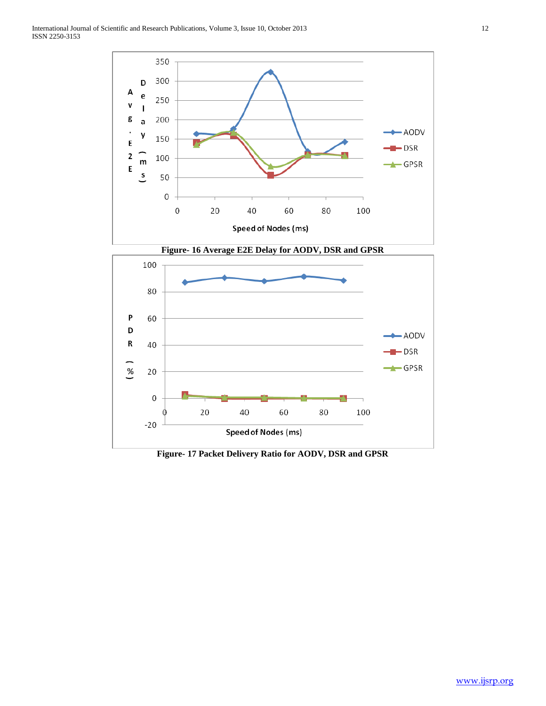

**Figure- 17 Packet Delivery Ratio for AODV, DSR and GPSR**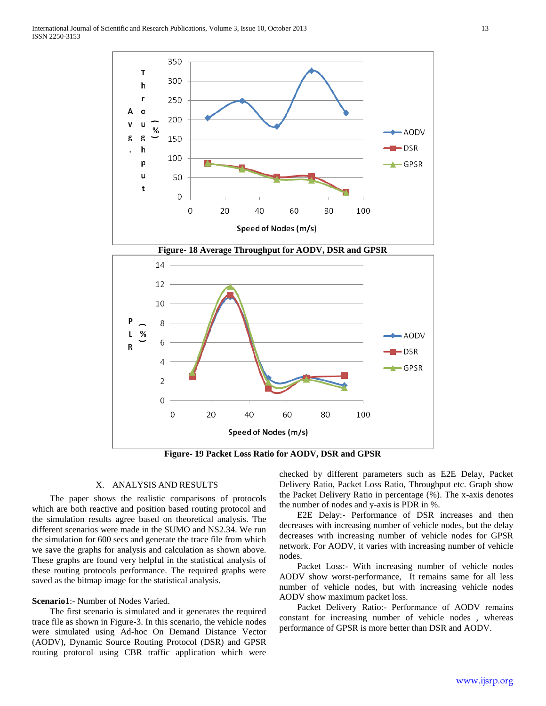

**Figure- 19 Packet Loss Ratio for AODV, DSR and GPSR**

# X. ANALYSIS AND RESULTS

 The paper shows the realistic comparisons of protocols which are both reactive and position based routing protocol and the simulation results agree based on theoretical analysis. The different scenarios were made in the SUMO and NS2.34. We run the simulation for 600 secs and generate the trace file from which we save the graphs for analysis and calculation as shown above. These graphs are found very helpful in the statistical analysis of these routing protocols performance. The required graphs were saved as the bitmap image for the statistical analysis.

### **Scenario1**:- Number of Nodes Varied.

 The first scenario is simulated and it generates the required trace file as shown in Figure-3. In this scenario, the vehicle nodes were simulated using Ad-hoc On Demand Distance Vector (AODV), Dynamic Source Routing Protocol (DSR) and GPSR routing protocol using CBR traffic application which were

checked by different parameters such as E2E Delay, Packet Delivery Ratio, Packet Loss Ratio, Throughput etc. Graph show the Packet Delivery Ratio in percentage (%). The x-axis denotes the number of nodes and y-axis is PDR in %.

 E2E Delay:- Performance of DSR increases and then decreases with increasing number of vehicle nodes, but the delay decreases with increasing number of vehicle nodes for GPSR network. For AODV, it varies with increasing number of vehicle nodes.

 Packet Loss:- With increasing number of vehicle nodes AODV show worst-performance, It remains same for all less number of vehicle nodes, but with increasing vehicle nodes AODV show maximum packet loss.

 Packet Delivery Ratio:- Performance of AODV remains constant for increasing number of vehicle nodes , whereas performance of GPSR is more better than DSR and AODV.